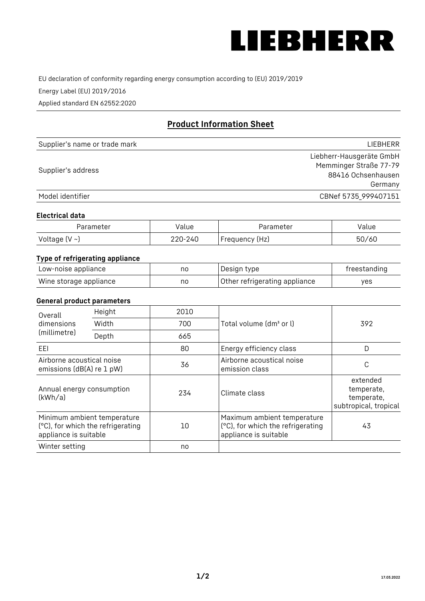

EU declaration of conformity regarding energy consumption according to (EU) 2019/2019

Energy Label (EU) 2019/2016

Applied standard EN 62552:2020

# **Product Information Sheet**

| Supplier's name or trade mark | LIEBHERR                 |
|-------------------------------|--------------------------|
|                               | Liebherr-Hausgeräte GmbH |
|                               | Memminger Straße 77-79   |
| Supplier's address            | 88416 Ochsenhausen       |
|                               | Germany                  |
| Model identifier              | CBNef 5735_999407151     |

### **Electrical data**

| Parameter          | Value   | Parameter      | Value |
|--------------------|---------|----------------|-------|
| Voltage $(V \sim)$ | 220-240 | Frequency (Hz) | 50/60 |

# **Type of refrigerating appliance**

| Low-noise appliance    | nc | Design type                   | freestanding |
|------------------------|----|-------------------------------|--------------|
| Wine storage appliance | nc | Other refrigerating appliance | ves          |

## **General product parameters**

| Overall                                                | Height                                                           | 2010 |                                                                                           | 392                                                           |
|--------------------------------------------------------|------------------------------------------------------------------|------|-------------------------------------------------------------------------------------------|---------------------------------------------------------------|
| dimensions<br>(millimetre)                             | Width                                                            | 700  | Total volume (dm <sup>3</sup> or l)                                                       |                                                               |
|                                                        | Depth                                                            | 665  |                                                                                           |                                                               |
| EEL                                                    |                                                                  | 80   | Energy efficiency class                                                                   | D                                                             |
| Airborne acoustical noise<br>emissions (dB(A) re 1 pW) |                                                                  | 36   | Airborne acoustical noise<br>emission class                                               | C                                                             |
| Annual energy consumption<br>(kWh/a)                   |                                                                  | 234  | Climate class                                                                             | extended<br>temperate,<br>temperate,<br>subtropical, tropical |
| appliance is suitable                                  | Minimum ambient temperature<br>(°C), for which the refrigerating | 10   | Maximum ambient temperature<br>(°C), for which the refrigerating<br>appliance is suitable | 43                                                            |
| Winter setting                                         |                                                                  | no   |                                                                                           |                                                               |